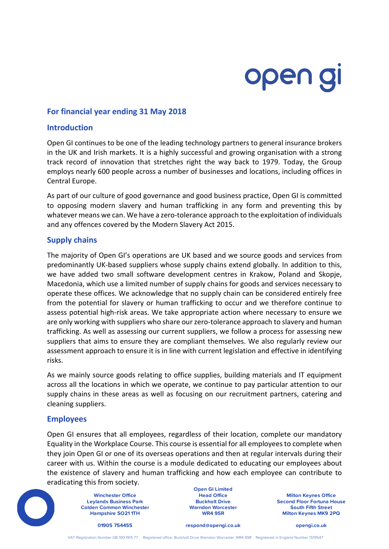# open gi

## **For financial year ending 31 May 2018**

#### **Introduction**

Open GI continues to be one of the leading technology partners to general insurance brokers in the UK and Irish markets. It is a highly successful and growing organisation with a strong track record of innovation that stretches right the way back to 1979. Today, the Group employs nearly 600 people across a number of businesses and locations, including offices in Central Europe.

As part of our culture of good governance and good business practice, Open GI is committed to opposing modern slavery and human trafficking in any form and preventing this by whatever means we can. We have a zero-tolerance approach to the exploitation of individuals and any offences covered by the Modern Slavery Act 2015.

## **Supply chains**

The majority of Open GI's operations are UK based and we source goods and services from predominantly UK-based suppliers whose supply chains extend globally. In addition to this, we have added two small software development centres in Krakow, Poland and Skopje, Macedonia, which use a limited number of supply chains for goods and services necessary to operate these offices. We acknowledge that no supply chain can be considered entirely free from the potential for slavery or human trafficking to occur and we therefore continue to assess potential high-risk areas. We take appropriate action where necessary to ensure we are only working with suppliers who share our zero-tolerance approach to slavery and human trafficking. As well as assessing our current suppliers, we follow a process for assessing new suppliers that aims to ensure they are compliant themselves. We also regularly review our assessment approach to ensure it is in line with current legislation and effective in identifying risks.

As we mainly source goods relating to office supplies, building materials and IT equipment across all the locations in which we operate, we continue to pay particular attention to our supply chains in these areas as well as focusing on our recruitment partners, catering and cleaning suppliers.

## **Employees**

Open GI ensures that all employees, regardless of their location, complete our mandatory Equality in the Workplace Course. This course is essential for all employees to complete when they join Open GI or one of its overseas operations and then at regular intervals during their career with us. Within the course is a module dedicated to educating our employees about the existence of slavery and human trafficking and how each employee can contribute to eradicating this from society.



**Leylands Business Park Colden Common Winchester Hampshire SO21 1TH**

**Open GI Limited Buckholt Drive Warndon Worcester WR4 9SR**

**Winchester Office Head Office Milton Keynes Office Second Floor Fortuna House South Fifth Street Milton Keynes MK9 2PQ**

**01905 754455 respond@opengi.co.uk opengi.co.uk**